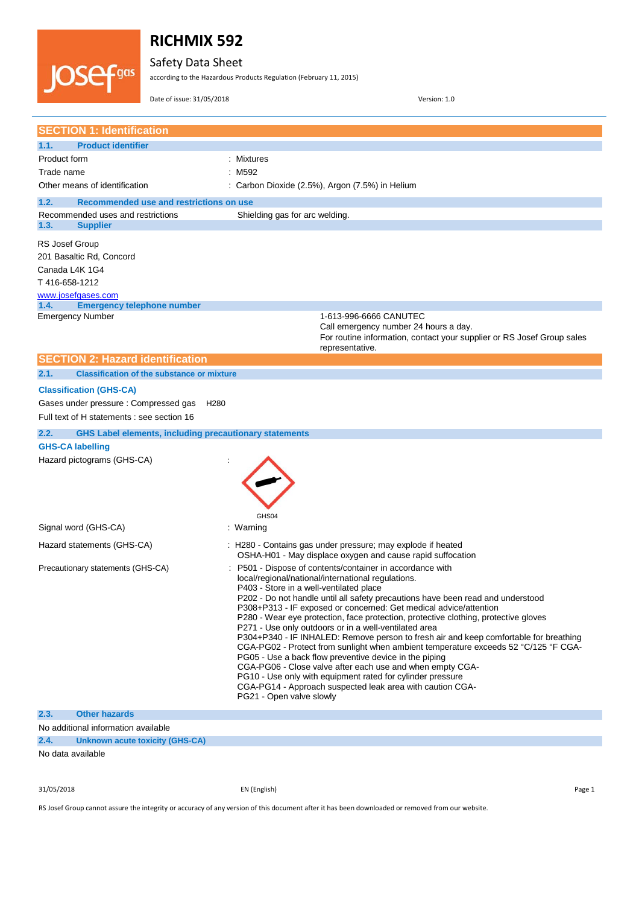

Safety Data Sheet

according to the Hazardous Products Regulation (February 11, 2015)

Date of issue: 31/05/2018 Version: 1.0

|                         | <b>SECTION 1: Identification</b>                              |                                                                                                                                                |
|-------------------------|---------------------------------------------------------------|------------------------------------------------------------------------------------------------------------------------------------------------|
| 1.1.                    | <b>Product identifier</b>                                     |                                                                                                                                                |
| Product form            |                                                               | : Mixtures                                                                                                                                     |
| Trade name              |                                                               | : M592                                                                                                                                         |
|                         | Other means of identification                                 | : Carbon Dioxide (2.5%), Argon (7.5%) in Helium                                                                                                |
| 1.2.                    | Recommended use and restrictions on use                       |                                                                                                                                                |
|                         | Recommended uses and restrictions                             | Shielding gas for arc welding.                                                                                                                 |
| 1.3.                    | <b>Supplier</b>                                               |                                                                                                                                                |
| RS Josef Group          |                                                               |                                                                                                                                                |
|                         | 201 Basaltic Rd, Concord                                      |                                                                                                                                                |
| Canada L4K 1G4          |                                                               |                                                                                                                                                |
| T416-658-1212           |                                                               |                                                                                                                                                |
| www.josefgases.com      |                                                               |                                                                                                                                                |
| 1.4.                    | <b>Emergency telephone number</b>                             |                                                                                                                                                |
| <b>Emergency Number</b> |                                                               | 1-613-996-6666 CANUTEC                                                                                                                         |
|                         |                                                               | Call emergency number 24 hours a day.<br>For routine information, contact your supplier or RS Josef Group sales                                |
|                         |                                                               | representative.                                                                                                                                |
|                         | <b>SECTION 2: Hazard identification</b>                       |                                                                                                                                                |
| 2.1.                    | <b>Classification of the substance or mixture</b>             |                                                                                                                                                |
|                         | <b>Classification (GHS-CA)</b>                                |                                                                                                                                                |
|                         | Gases under pressure: Compressed gas<br>H <sub>280</sub>      |                                                                                                                                                |
|                         | Full text of H statements : see section 16                    |                                                                                                                                                |
| 2.2.                    | <b>GHS Label elements, including precautionary statements</b> |                                                                                                                                                |
| <b>GHS-CA labelling</b> |                                                               |                                                                                                                                                |
|                         | Hazard pictograms (GHS-CA)                                    |                                                                                                                                                |
|                         |                                                               |                                                                                                                                                |
|                         |                                                               |                                                                                                                                                |
|                         |                                                               |                                                                                                                                                |
|                         |                                                               | GHS04                                                                                                                                          |
| Signal word (GHS-CA)    |                                                               | : Warning                                                                                                                                      |
|                         |                                                               |                                                                                                                                                |
|                         | Hazard statements (GHS-CA)                                    | : H280 - Contains gas under pressure; may explode if heated<br>OSHA-H01 - May displace oxygen and cause rapid suffocation                      |
|                         | Precautionary statements (GHS-CA)                             | P501 - Dispose of contents/container in accordance with                                                                                        |
|                         |                                                               | local/regional/national/international regulations.                                                                                             |
|                         |                                                               | P403 - Store in a well-ventilated place<br>P202 - Do not handle until all safety precautions have been read and understood                     |
|                         |                                                               | P308+P313 - IF exposed or concerned: Get medical advice/attention                                                                              |
|                         |                                                               | P280 - Wear eye protection, face protection, protective clothing, protective gloves                                                            |
|                         |                                                               | P271 - Use only outdoors or in a well-ventilated area<br>P304+P340 - IF INHALED: Remove person to fresh air and keep comfortable for breathing |
|                         |                                                               | CGA-PG02 - Protect from sunlight when ambient temperature exceeds 52 °C/125 °F CGA-                                                            |
|                         |                                                               | PG05 - Use a back flow preventive device in the piping                                                                                         |
|                         |                                                               | CGA-PG06 - Close valve after each use and when empty CGA-<br>PG10 - Use only with equipment rated for cylinder pressure                        |
|                         |                                                               | CGA-PG14 - Approach suspected leak area with caution CGA-                                                                                      |
|                         |                                                               | PG21 - Open valve slowly                                                                                                                       |
| 2.3.                    | <b>Other hazards</b>                                          |                                                                                                                                                |
|                         | No additional information available                           |                                                                                                                                                |
| 2.4.                    | Unknown acute toxicity (GHS-CA)                               |                                                                                                                                                |
| No data availahla       |                                                               |                                                                                                                                                |

No data available

31/05/2018 EN (English) Page 1

RS Josef Group cannot assure the integrity or accuracy of any version of this document after it has been downloaded or removed from our website.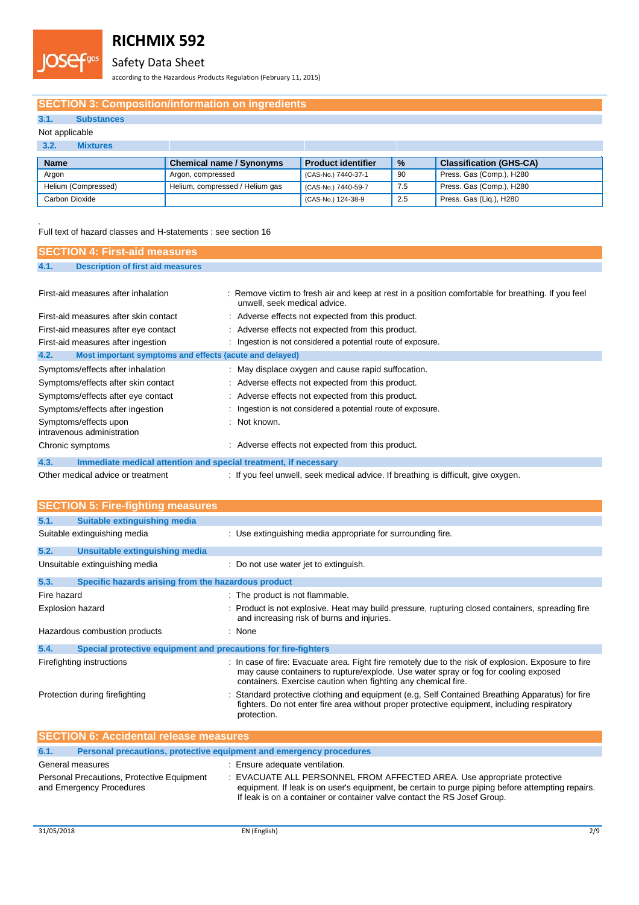

### Safety Data Sheet

according to the Hazardous Products Regulation (February 11, 2015)

### **SECTION 3: Composition/information on ingredients**

### **3.1. Substances**

#### Not applicable

| 3.2.<br>Mixtures    |                                 |                           |      |                                |
|---------------------|---------------------------------|---------------------------|------|--------------------------------|
| <b>Name</b>         | <b>Chemical name / Synonyms</b> | <b>Product identifier</b> | $\%$ | <b>Classification (GHS-CA)</b> |
| Argon               | Argon, compressed               | (CAS-No.) 7440-37-1       | -90  | Press. Gas (Comp.), H280       |
| Helium (Compressed) | Helium, compressed / Helium gas | (CAS-No.) 7440-59-7       | 7.5  | Press. Gas (Comp.), H280       |
| Carbon Dioxide      |                                 | (CAS-No.) 124-38-9        | 2.5  | Press. Gas (Lig.), H280        |

### .<br>Full text of hazard classes and H-statements : see section 16

| <b>SECTION 4: First-aid measures</b>                                    |                                                                                                                                    |
|-------------------------------------------------------------------------|------------------------------------------------------------------------------------------------------------------------------------|
| 4.1.<br><b>Description of first aid measures</b>                        |                                                                                                                                    |
|                                                                         |                                                                                                                                    |
| First-aid measures after inhalation                                     | : Remove victim to fresh air and keep at rest in a position comfortable for breathing. If you feel<br>unwell, seek medical advice. |
| First-aid measures after skin contact                                   | : Adverse effects not expected from this product.                                                                                  |
| First-aid measures after eye contact                                    | : Adverse effects not expected from this product.                                                                                  |
| First-aid measures after ingestion                                      | Ingestion is not considered a potential route of exposure.                                                                         |
| 4.2.<br>Most important symptoms and effects (acute and delayed)         |                                                                                                                                    |
| Symptoms/effects after inhalation                                       | : May displace oxygen and cause rapid suffocation.                                                                                 |
| Symptoms/effects after skin contact                                     | : Adverse effects not expected from this product.                                                                                  |
| Symptoms/effects after eye contact                                      | : Adverse effects not expected from this product.                                                                                  |
| Symptoms/effects after ingestion                                        | Ingestion is not considered a potential route of exposure.                                                                         |
| Symptoms/effects upon<br>intravenous administration                     | Not known.                                                                                                                         |
| Chronic symptoms                                                        | : Adverse effects not expected from this product.                                                                                  |
| 4.3.<br>Immediate medical attention and special treatment, if necessary |                                                                                                                                    |
| Other medical advice or treatment                                       | : If you feel unwell, seek medical advice. If breathing is difficult, give oxygen.                                                 |

| <b>SECTION 5: Fire-fighting measures</b>                                    |                                                                                                                                                                                                                                                              |  |
|-----------------------------------------------------------------------------|--------------------------------------------------------------------------------------------------------------------------------------------------------------------------------------------------------------------------------------------------------------|--|
| <b>Suitable extinguishing media</b><br>5.1.                                 |                                                                                                                                                                                                                                                              |  |
| Suitable extinguishing media                                                | : Use extinguishing media appropriate for surrounding fire.                                                                                                                                                                                                  |  |
| 5.2.<br>Unsuitable extinguishing media                                      |                                                                                                                                                                                                                                                              |  |
| Unsuitable extinguishing media                                              | : Do not use water jet to extinguish.                                                                                                                                                                                                                        |  |
| 5.3.<br>Specific hazards arising from the hazardous product                 |                                                                                                                                                                                                                                                              |  |
| Fire hazard                                                                 | : The product is not flammable.                                                                                                                                                                                                                              |  |
| Explosion hazard                                                            | : Product is not explosive. Heat may build pressure, rupturing closed containers, spreading fire<br>and increasing risk of burns and injuries.                                                                                                               |  |
| Hazardous combustion products                                               | : None                                                                                                                                                                                                                                                       |  |
| 5.4.<br>Special protective equipment and precautions for fire-fighters      |                                                                                                                                                                                                                                                              |  |
| Firefighting instructions                                                   | : In case of fire: Evacuate area. Fight fire remotely due to the risk of explosion. Exposure to fire<br>may cause containers to rupture/explode. Use water spray or fog for cooling exposed<br>containers. Exercise caution when fighting any chemical fire. |  |
| Protection during firefighting                                              | Standard protective clothing and equipment (e.g. Self Contained Breathing Apparatus) for fire<br>fighters. Do not enter fire area without proper protective equipment, including respiratory<br>protection.                                                  |  |
| <b>SECTION 6: Accidental release measures</b>                               |                                                                                                                                                                                                                                                              |  |
| 6.1.<br>Personal precautions, protective equipment and emergency procedures |                                                                                                                                                                                                                                                              |  |
| General measures                                                            | : Ensure adequate ventilation.                                                                                                                                                                                                                               |  |
| Personal Precautions, Protective Equipment                                  | : EVACUATE ALL PERSONNEL FROM AFFECTED AREA. Use appropriate protective                                                                                                                                                                                      |  |

and Emergency Procedures equipment. If leak is on user's equipment, be certain to purge piping before attempting repairs.

If leak is on a container or container valve contact the RS Josef Group.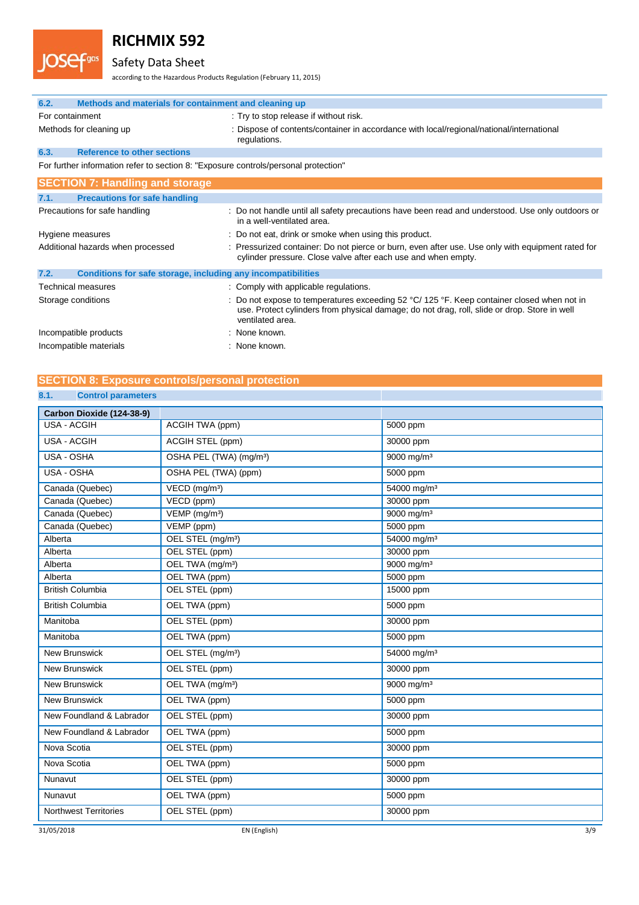

## Safety Data Sheet

according to the Hazardous Products Regulation (February 11, 2015)

| 6.2.                          | Methods and materials for containment and cleaning up                               |                                                                                                                                                                                                                           |  |
|-------------------------------|-------------------------------------------------------------------------------------|---------------------------------------------------------------------------------------------------------------------------------------------------------------------------------------------------------------------------|--|
| For containment               |                                                                                     | : Try to stop release if without risk.                                                                                                                                                                                    |  |
| Methods for cleaning up       |                                                                                     | : Dispose of contents/container in accordance with local/regional/national/international<br>regulations.                                                                                                                  |  |
| 6.3.                          | <b>Reference to other sections</b>                                                  |                                                                                                                                                                                                                           |  |
|                               | For further information refer to section 8: "Exposure controls/personal protection" |                                                                                                                                                                                                                           |  |
|                               | <b>SECTION 7: Handling and storage</b>                                              |                                                                                                                                                                                                                           |  |
| 7.1.                          | <b>Precautions for safe handling</b>                                                |                                                                                                                                                                                                                           |  |
| Precautions for safe handling |                                                                                     | : Do not handle until all safety precautions have been read and understood. Use only outdoors or<br>in a well-ventilated area.                                                                                            |  |
|                               | Hygiene measures                                                                    | : Do not eat, drink or smoke when using this product.                                                                                                                                                                     |  |
|                               | Additional hazards when processed                                                   | : Pressurized container: Do not pierce or burn, even after use. Use only with equipment rated for<br>cylinder pressure. Close valve after each use and when empty.                                                        |  |
| 7.2.                          | Conditions for safe storage, including any incompatibilities                        |                                                                                                                                                                                                                           |  |
|                               | <b>Technical measures</b>                                                           | : Comply with applicable regulations.                                                                                                                                                                                     |  |
|                               | Storage conditions                                                                  | : Do not expose to temperatures exceeding $52 \text{ °C}$ / 125 °F. Keep container closed when not in<br>use. Protect cylinders from physical damage; do not drag, roll, slide or drop. Store in well<br>ventilated area. |  |
| Incompatible products         |                                                                                     | : None known.                                                                                                                                                                                                             |  |
| Incompatible materials        |                                                                                     | : None known.                                                                                                                                                                                                             |  |

## **SECTION 8: Exposure controls/personal protection**

### **8.1. Control parameters**

| Carbon Dioxide (124-38-9)         |                                        |                         |  |
|-----------------------------------|----------------------------------------|-------------------------|--|
| <b>USA - ACGIH</b>                | ACGIH TWA (ppm)                        | 5000 ppm                |  |
| <b>USA - ACGIH</b>                | ACGIH STEL (ppm)                       | 30000 ppm               |  |
| USA - OSHA                        | OSHA PEL (TWA) (mg/m <sup>3</sup> )    | 9000 mg/m <sup>3</sup>  |  |
| USA - OSHA                        | OSHA PEL (TWA) (ppm)                   | 5000 ppm                |  |
| Canada (Quebec)                   | $\overline{VECD}$ (mg/m <sup>3</sup> ) | 54000 mg/m <sup>3</sup> |  |
| Canada (Quebec)                   | VECD (ppm)                             | 30000 ppm               |  |
| Canada (Quebec)                   | $VEMP$ (mg/m <sup>3</sup> )            | 9000 mg/m <sup>3</sup>  |  |
| Canada (Quebec)                   | VEMP (ppm)                             | 5000 ppm                |  |
| Alberta                           | OEL STEL (mg/m <sup>3</sup> )          | 54000 mg/m <sup>3</sup> |  |
| Alberta                           | OEL STEL (ppm)                         | 30000 ppm               |  |
| Alberta                           | OEL TWA (mg/m <sup>3</sup> )           | 9000 mg/m <sup>3</sup>  |  |
| Alberta                           | OEL TWA (ppm)                          | 5000 ppm                |  |
| <b>British Columbia</b>           | OEL STEL (ppm)                         | 15000 ppm               |  |
| <b>British Columbia</b>           | OEL TWA (ppm)                          | 5000 ppm                |  |
| Manitoba                          | OEL STEL (ppm)                         | 30000 ppm               |  |
| Manitoba                          | OEL TWA (ppm)                          | 5000 ppm                |  |
| New Brunswick                     | OEL STEL (mg/m <sup>3</sup> )          | 54000 mg/m <sup>3</sup> |  |
| <b>New Brunswick</b>              | OEL STEL (ppm)                         | 30000 ppm               |  |
| <b>New Brunswick</b>              | OEL TWA (mg/m <sup>3</sup> )           | 9000 mg/m <sup>3</sup>  |  |
| <b>New Brunswick</b>              | OEL TWA (ppm)                          | 5000 ppm                |  |
| New Foundland & Labrador          | OEL STEL (ppm)                         | 30000 ppm               |  |
| New Foundland & Labrador          | OEL TWA (ppm)                          | 5000 ppm                |  |
| Nova Scotia                       | OEL STEL (ppm)                         | 30000 ppm               |  |
| Nova Scotia                       | OEL TWA (ppm)                          | 5000 ppm                |  |
| Nunavut                           | OEL STEL (ppm)                         | 30000 ppm               |  |
| Nunavut                           | OEL TWA (ppm)                          | 5000 ppm                |  |
| <b>Northwest Territories</b>      | OEL STEL (ppm)                         | 30000 ppm               |  |
| 3/9<br>31/05/2018<br>EN (English) |                                        |                         |  |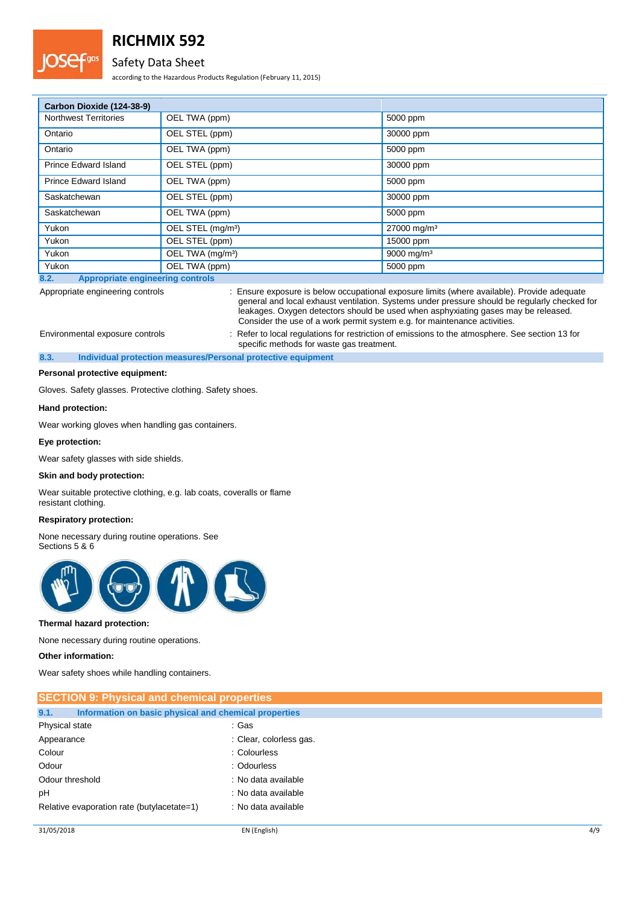

### Safety Data Sheet

according to the Hazardous Products Regulation (February 11, 2015)

| Carbon Dioxide (124-38-9)                       |                               |                         |  |
|-------------------------------------------------|-------------------------------|-------------------------|--|
| <b>Northwest Territories</b>                    | OEL TWA (ppm)                 | 5000 ppm                |  |
| Ontario                                         | OEL STEL (ppm)                | 30000 ppm               |  |
| Ontario                                         | OEL TWA (ppm)                 | 5000 ppm                |  |
| Prince Edward Island                            | OEL STEL (ppm)                | 30000 ppm               |  |
| Prince Edward Island                            | OEL TWA (ppm)                 | 5000 ppm                |  |
| Saskatchewan                                    | OEL STEL (ppm)                | 30000 ppm               |  |
| Saskatchewan                                    | OEL TWA (ppm)                 | 5000 ppm                |  |
| Yukon                                           | OEL STEL (mg/m <sup>3</sup> ) | 27000 mg/m <sup>3</sup> |  |
| Yukon                                           | OEL STEL (ppm)                | 15000 ppm               |  |
| Yukon                                           | OEL TWA (mg/m <sup>3</sup> )  | 9000 mg/m <sup>3</sup>  |  |
| Yukon                                           | OEL TWA (ppm)                 | 5000 ppm                |  |
| 8.2.<br><b>Appropriate engineering controls</b> |                               |                         |  |

Appropriate engineering controls : Ensure exposure is below occupational exposure limits (where available). Provide adequate general and local exhaust ventilation. Systems under pressure should be regularly checked for leakages. Oxygen detectors should be used when asphyxiating gases may be released. Consider the use of a work permit system e.g. for maintenance activities.

Environmental exposure controls : Refer to local regulations for restriction of emissions to the atmosphere. See section 13 for

specific methods for waste gas treatment. **8.3. Individual protection measures/Personal protective equipment**

**Personal protective equipment:**

Gloves. Safety glasses. Protective clothing. Safety shoes.

#### **Hand protection:**

Wear working gloves when handling gas containers.

#### **Eye protection:**

Wear safety glasses with side shields.

#### **Skin and body protection:**

Wear suitable protective clothing, e.g. lab coats, coveralls or flame resistant clothing.

#### **Respiratory protection:**

None necessary during routine operations. See Sections 5 & 6



#### **Thermal hazard protection:**

None necessary during routine operations.

#### **Other information:**

Wear safety shoes while handling containers.

| <b>SECTION 9: Physical and chemical properties</b>            |                         |  |  |
|---------------------------------------------------------------|-------------------------|--|--|
| 9.1.<br>Information on basic physical and chemical properties |                         |  |  |
| Physical state                                                | :Gas                    |  |  |
| Appearance                                                    | : Clear, colorless gas. |  |  |
| Colour                                                        | : Colourless            |  |  |
| Odour                                                         | : Odourless             |  |  |
| Odour threshold                                               | : No data available     |  |  |
| pH                                                            | : No data available     |  |  |
| Relative evaporation rate (butylacetate=1)                    | : No data available     |  |  |
|                                                               |                         |  |  |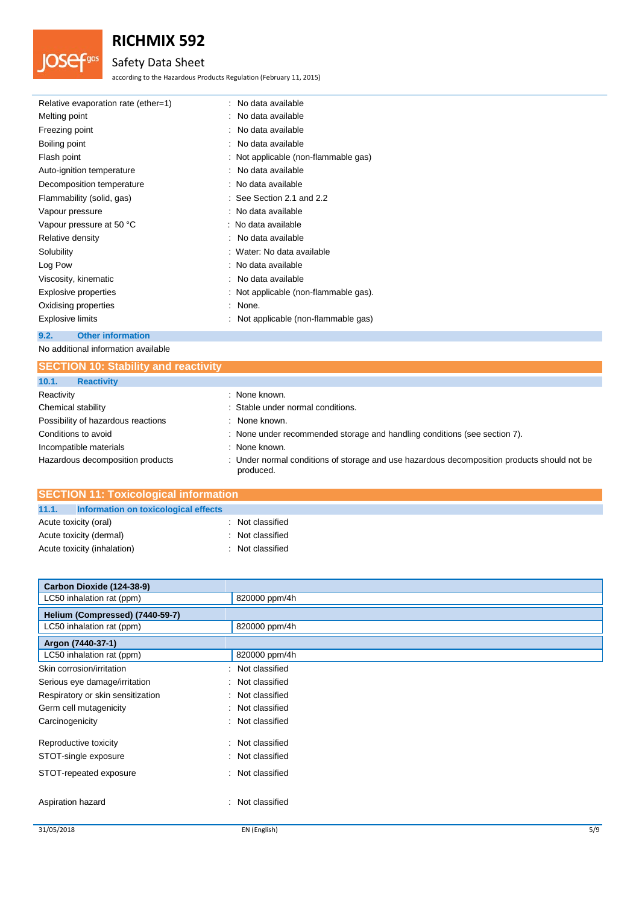## Safety Data Sheet

according to the Hazardous Products Regulation (February 11, 2015)

| Relative evaporation rate (ether=1) | : No data available                   |
|-------------------------------------|---------------------------------------|
| Melting point                       | : No data available                   |
| Freezing point                      | : No data available                   |
| Boiling point                       | : No data available                   |
| Flash point                         | : Not applicable (non-flammable gas)  |
| Auto-ignition temperature           | : No data available                   |
| Decomposition temperature           | : No data available                   |
| Flammability (solid, gas)           | $\therefore$ See Section 2.1 and 2.2  |
| Vapour pressure                     | : No data available                   |
| Vapour pressure at 50 °C            | : No data available                   |
| Relative density                    | : No data available                   |
| Solubility                          | : Water: No data available            |
| Log Pow                             | : No data available                   |
| Viscosity, kinematic                | : No data available                   |
| Explosive properties                | : Not applicable (non-flammable gas). |
| Oxidising properties                | : None.                               |
| <b>Explosive limits</b>             | : Not applicable (non-flammable gas)  |
|                                     |                                       |

### **9.2. Other information**

**JOSef**gas

No additional information available

| <b>SECTION 10: Stability and reactivity</b> |                                                                                                          |  |
|---------------------------------------------|----------------------------------------------------------------------------------------------------------|--|
| 10.1.<br><b>Reactivity</b>                  |                                                                                                          |  |
| Reactivity                                  | : None known.                                                                                            |  |
| Chemical stability                          | : Stable under normal conditions.                                                                        |  |
| Possibility of hazardous reactions          | : None known.                                                                                            |  |
| Conditions to avoid                         | : None under recommended storage and handling conditions (see section 7).                                |  |
| Incompatible materials                      | : None known.                                                                                            |  |
| Hazardous decomposition products            | : Under normal conditions of storage and use hazardous decomposition products should not be<br>produced. |  |

| <b>SECTION 11: Toxicological information</b>  |                  |  |  |
|-----------------------------------------------|------------------|--|--|
| 11.1.<br>Information on toxicological effects |                  |  |  |
| Acute toxicity (oral)                         | : Not classified |  |  |
| Acute toxicity (dermal)                       | : Not classified |  |  |
| Acute toxicity (inhalation)                   | : Not classified |  |  |

| Carbon Dioxide (124-38-9)         |                  |     |
|-----------------------------------|------------------|-----|
| LC50 inhalation rat (ppm)         | 820000 ppm/4h    |     |
| Helium (Compressed) (7440-59-7)   |                  |     |
| LC50 inhalation rat (ppm)         | 820000 ppm/4h    |     |
| Argon (7440-37-1)                 |                  |     |
| LC50 inhalation rat (ppm)         | 820000 ppm/4h    |     |
| Skin corrosion/irritation         | : Not classified |     |
| Serious eye damage/irritation     | : Not classified |     |
| Respiratory or skin sensitization | : Not classified |     |
| Germ cell mutagenicity            | : Not classified |     |
| Carcinogenicity                   | : Not classified |     |
| Reproductive toxicity             | : Not classified |     |
| STOT-single exposure              | : Not classified |     |
| STOT-repeated exposure            | : Not classified |     |
| Aspiration hazard                 | : Not classified |     |
| 31/05/2018                        | EN (English)     | 5/9 |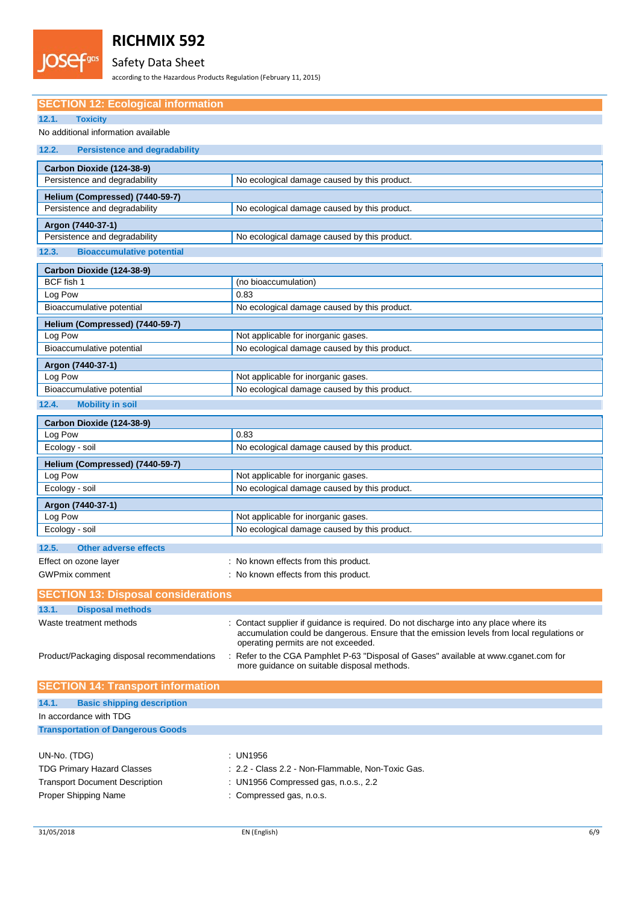

## Safety Data Sheet

according to the Hazardous Products Regulation (February 11, 2015)

| <b>SECTION 12: Ecological information</b>          |                                                                                                                                                                                     |  |
|----------------------------------------------------|-------------------------------------------------------------------------------------------------------------------------------------------------------------------------------------|--|
| 12.1.<br><b>Toxicity</b>                           |                                                                                                                                                                                     |  |
| No additional information available                |                                                                                                                                                                                     |  |
| <b>Persistence and degradability</b><br>12.2.      |                                                                                                                                                                                     |  |
| Carbon Dioxide (124-38-9)                          |                                                                                                                                                                                     |  |
| Persistence and degradability                      | No ecological damage caused by this product.                                                                                                                                        |  |
| Helium (Compressed) (7440-59-7)                    |                                                                                                                                                                                     |  |
| Persistence and degradability                      | No ecological damage caused by this product.                                                                                                                                        |  |
|                                                    |                                                                                                                                                                                     |  |
| Argon (7440-37-1)<br>Persistence and degradability | No ecological damage caused by this product.                                                                                                                                        |  |
|                                                    |                                                                                                                                                                                     |  |
| 12.3.<br><b>Bioaccumulative potential</b>          |                                                                                                                                                                                     |  |
| Carbon Dioxide (124-38-9)                          |                                                                                                                                                                                     |  |
| BCF fish 1                                         | (no bioaccumulation)                                                                                                                                                                |  |
| Log Pow                                            | 0.83                                                                                                                                                                                |  |
| Bioaccumulative potential                          | No ecological damage caused by this product.                                                                                                                                        |  |
| Helium (Compressed) (7440-59-7)                    |                                                                                                                                                                                     |  |
| Log Pow                                            | Not applicable for inorganic gases.                                                                                                                                                 |  |
| Bioaccumulative potential                          | No ecological damage caused by this product.                                                                                                                                        |  |
| Argon (7440-37-1)                                  |                                                                                                                                                                                     |  |
| Log Pow                                            | Not applicable for inorganic gases.                                                                                                                                                 |  |
| Bioaccumulative potential                          | No ecological damage caused by this product.                                                                                                                                        |  |
| 12.4.<br><b>Mobility in soil</b>                   |                                                                                                                                                                                     |  |
| Carbon Dioxide (124-38-9)                          |                                                                                                                                                                                     |  |
| Log Pow                                            | 0.83                                                                                                                                                                                |  |
| Ecology - soil                                     | No ecological damage caused by this product.                                                                                                                                        |  |
| Helium (Compressed) (7440-59-7)                    |                                                                                                                                                                                     |  |
| Log Pow                                            | Not applicable for inorganic gases.                                                                                                                                                 |  |
| Ecology - soil                                     | No ecological damage caused by this product.                                                                                                                                        |  |
| Argon (7440-37-1)                                  |                                                                                                                                                                                     |  |
| Log Pow                                            | Not applicable for inorganic gases.                                                                                                                                                 |  |
| Ecology - soil                                     | No ecological damage caused by this product.                                                                                                                                        |  |
|                                                    |                                                                                                                                                                                     |  |
| 12.5.<br><b>Other adverse effects</b>              |                                                                                                                                                                                     |  |
| Effect on ozone layer                              | : No known effects from this product.                                                                                                                                               |  |
| <b>GWPmix comment</b>                              | No known effects from this product.                                                                                                                                                 |  |
| <b>SECTION 13: Disposal considerations</b>         |                                                                                                                                                                                     |  |
| 13.1.<br><b>Disposal methods</b>                   |                                                                                                                                                                                     |  |
| Waste treatment methods                            | : Contact supplier if guidance is required. Do not discharge into any place where its<br>accumulation could be dangerous. Ensure that the emission levels from local regulations or |  |
|                                                    | operating permits are not exceeded.                                                                                                                                                 |  |
| Product/Packaging disposal recommendations         | Refer to the CGA Pamphlet P-63 "Disposal of Gases" available at www.cganet.com for<br>more guidance on suitable disposal methods.                                                   |  |
| <b>SECTION 14: Transport information</b>           |                                                                                                                                                                                     |  |
| <b>Basic shipping description</b><br>14.1.         |                                                                                                                                                                                     |  |
| In accordance with TDG                             |                                                                                                                                                                                     |  |
| <b>Transportation of Dangerous Goods</b>           |                                                                                                                                                                                     |  |
|                                                    |                                                                                                                                                                                     |  |
|                                                    |                                                                                                                                                                                     |  |

| UN-No. (TDG)                          | : UN1956                                          |
|---------------------------------------|---------------------------------------------------|
| <b>TDG Primary Hazard Classes</b>     | : 2.2 - Class 2.2 - Non-Flammable. Non-Toxic Gas. |
| <b>Transport Document Description</b> | : UN1956 Compressed gas, n.o.s., 2.2              |
| Proper Shipping Name                  | : Compressed gas, n.o.s.                          |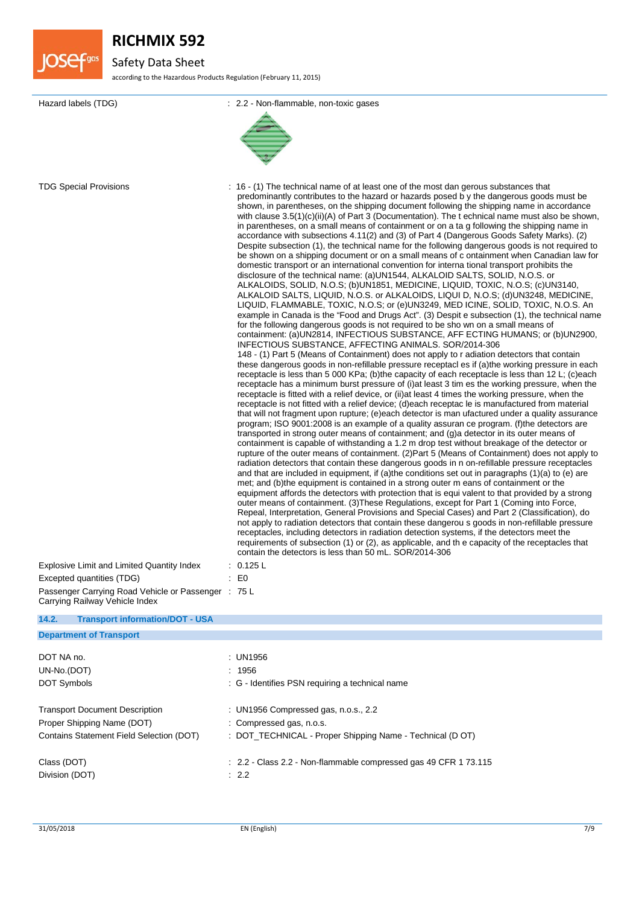

## Safety Data Sheet

according to the Hazardous Products Regulation (February 11, 2015)

| Hazard labels (TDG)                                                                                                                                                                                      | : 2.2 - Non-flammable, non-toxic gases                                                                                                                                                                                                                                                                                                                                                                                                                                                                                                                                                                                                                                                                                                                                                                                                                                                                                                                                                                                                                                                                                                                                                                                                                                                                                                                                                                                                                                                                                                                                                                                                                                                                                                                                                                                                                                                                                                                                                                                                                                                                                                                                                                                                                                                                                                                                                                                                                                                                                                                                                                                                                                                                                                                                                                                                                                                                                                                                                                                                                                                                                                                                                                                                                                                                                                                                                                                                                                                                                                                                                                                                                                 |
|----------------------------------------------------------------------------------------------------------------------------------------------------------------------------------------------------------|------------------------------------------------------------------------------------------------------------------------------------------------------------------------------------------------------------------------------------------------------------------------------------------------------------------------------------------------------------------------------------------------------------------------------------------------------------------------------------------------------------------------------------------------------------------------------------------------------------------------------------------------------------------------------------------------------------------------------------------------------------------------------------------------------------------------------------------------------------------------------------------------------------------------------------------------------------------------------------------------------------------------------------------------------------------------------------------------------------------------------------------------------------------------------------------------------------------------------------------------------------------------------------------------------------------------------------------------------------------------------------------------------------------------------------------------------------------------------------------------------------------------------------------------------------------------------------------------------------------------------------------------------------------------------------------------------------------------------------------------------------------------------------------------------------------------------------------------------------------------------------------------------------------------------------------------------------------------------------------------------------------------------------------------------------------------------------------------------------------------------------------------------------------------------------------------------------------------------------------------------------------------------------------------------------------------------------------------------------------------------------------------------------------------------------------------------------------------------------------------------------------------------------------------------------------------------------------------------------------------------------------------------------------------------------------------------------------------------------------------------------------------------------------------------------------------------------------------------------------------------------------------------------------------------------------------------------------------------------------------------------------------------------------------------------------------------------------------------------------------------------------------------------------------------------------------------------------------------------------------------------------------------------------------------------------------------------------------------------------------------------------------------------------------------------------------------------------------------------------------------------------------------------------------------------------------------------------------------------------------------------------------------------------------|
| <b>TDG Special Provisions</b><br><b>Explosive Limit and Limited Quantity Index</b><br>Excepted quantities (TDG)<br>Passenger Carrying Road Vehicle or Passenger : 75 L<br>Carrying Railway Vehicle Index | : 16 - (1) The technical name of at least one of the most dan gerous substances that<br>predominantly contributes to the hazard or hazards posed b y the dangerous goods must be<br>shown, in parentheses, on the shipping document following the shipping name in accordance<br>with clause $3.5(1)(c)(ii)(A)$ of Part 3 (Documentation). The t echnical name must also be shown,<br>in parentheses, on a small means of containment or on a ta g following the shipping name in<br>accordance with subsections 4.11(2) and (3) of Part 4 (Dangerous Goods Safety Marks). (2)<br>Despite subsection (1), the technical name for the following dangerous goods is not required to<br>be shown on a shipping document or on a small means of c ontainment when Canadian law for<br>domestic transport or an international convention for international transport prohibits the<br>disclosure of the technical name: (a)UN1544, ALKALOID SALTS, SOLID, N.O.S. or<br>ALKALOIDS, SOLID, N.O.S; (b)UN1851, MEDICINE, LIQUID, TOXIC, N.O.S; (c)UN3140,<br>ALKALOID SALTS, LIQUID, N.O.S. or ALKALOIDS, LIQUI D, N.O.S; (d)UN3248, MEDICINE,<br>LIQUID, FLAMMABLE, TOXIC, N.O.S; or (e)UN3249, MED ICINE, SOLID, TOXIC, N.O.S. An<br>example in Canada is the "Food and Drugs Act". (3) Despit e subsection (1), the technical name<br>for the following dangerous goods is not required to be sho wn on a small means of<br>containment: (a)UN2814, INFECTIOUS SUBSTANCE, AFF ECTING HUMANS; or (b)UN2900,<br>INFECTIOUS SUBSTANCE, AFFECTING ANIMALS. SOR/2014-306<br>148 - (1) Part 5 (Means of Containment) does not apply to r adiation detectors that contain<br>these dangerous goods in non-refillable pressure receptacl es if (a)the working pressure in each<br>receptacle is less than 5 000 KPa; (b)the capacity of each receptacle is less than 12 L; (c)each<br>receptacle has a minimum burst pressure of (i) at least 3 tim es the working pressure, when the<br>receptacle is fitted with a relief device, or (ii) at least 4 times the working pressure, when the<br>receptacle is not fitted with a relief device; (d)each receptac le is manufactured from material<br>that will not fragment upon rupture; (e)each detector is man ufactured under a quality assurance<br>program; ISO 9001:2008 is an example of a quality assuran ce program. (f) the detectors are<br>transported in strong outer means of containment; and (g)a detector in its outer means of<br>containment is capable of withstanding a 1.2 m drop test without breakage of the detector or<br>rupture of the outer means of containment. (2) Part 5 (Means of Containment) does not apply to<br>radiation detectors that contain these dangerous goods in n on-refillable pressure receptacles<br>and that are included in equipment, if (a)the conditions set out in paragraphs (1)(a) to (e) are<br>met; and (b)the equipment is contained in a strong outer m eans of containment or the<br>equipment affords the detectors with protection that is equi valent to that provided by a strong<br>outer means of containment. (3) These Regulations, except for Part 1 (Coming into Force,<br>Repeal, Interpretation, General Provisions and Special Cases) and Part 2 (Classification), do<br>not apply to radiation detectors that contain these dangerou s goods in non-refillable pressure<br>receptacles, including detectors in radiation detection systems, if the detectors meet the<br>requirements of subsection (1) or (2), as applicable, and the capacity of the receptacles that<br>contain the detectors is less than 50 mL. SOR/2014-306<br>: 0.125 L<br>$E_0$ |
| <b>Transport information/DOT - USA</b><br>14.2.                                                                                                                                                          |                                                                                                                                                                                                                                                                                                                                                                                                                                                                                                                                                                                                                                                                                                                                                                                                                                                                                                                                                                                                                                                                                                                                                                                                                                                                                                                                                                                                                                                                                                                                                                                                                                                                                                                                                                                                                                                                                                                                                                                                                                                                                                                                                                                                                                                                                                                                                                                                                                                                                                                                                                                                                                                                                                                                                                                                                                                                                                                                                                                                                                                                                                                                                                                                                                                                                                                                                                                                                                                                                                                                                                                                                                                                        |
| <b>Department of Transport</b>                                                                                                                                                                           |                                                                                                                                                                                                                                                                                                                                                                                                                                                                                                                                                                                                                                                                                                                                                                                                                                                                                                                                                                                                                                                                                                                                                                                                                                                                                                                                                                                                                                                                                                                                                                                                                                                                                                                                                                                                                                                                                                                                                                                                                                                                                                                                                                                                                                                                                                                                                                                                                                                                                                                                                                                                                                                                                                                                                                                                                                                                                                                                                                                                                                                                                                                                                                                                                                                                                                                                                                                                                                                                                                                                                                                                                                                                        |

| DOT NA no.                               | : UN1956                                                                    |
|------------------------------------------|-----------------------------------------------------------------------------|
| UN-No.(DOT)                              | : 1956                                                                      |
| DOT Symbols                              | : G - Identifies PSN requiring a technical name                             |
| <b>Transport Document Description</b>    | : UN1956 Compressed gas, n.o.s., 2.2                                        |
| Proper Shipping Name (DOT)               | : Compressed gas, n.o.s.                                                    |
| Contains Statement Field Selection (DOT) | : DOT_TECHNICAL - Proper Shipping Name - Technical (D OT)                   |
| Class (DOT)                              | $\therefore$ 2.2 - Class 2.2 - Non-flammable compressed gas 49 CFR 1 73.115 |
| Division (DOT)                           | : 2.2                                                                       |
|                                          |                                                                             |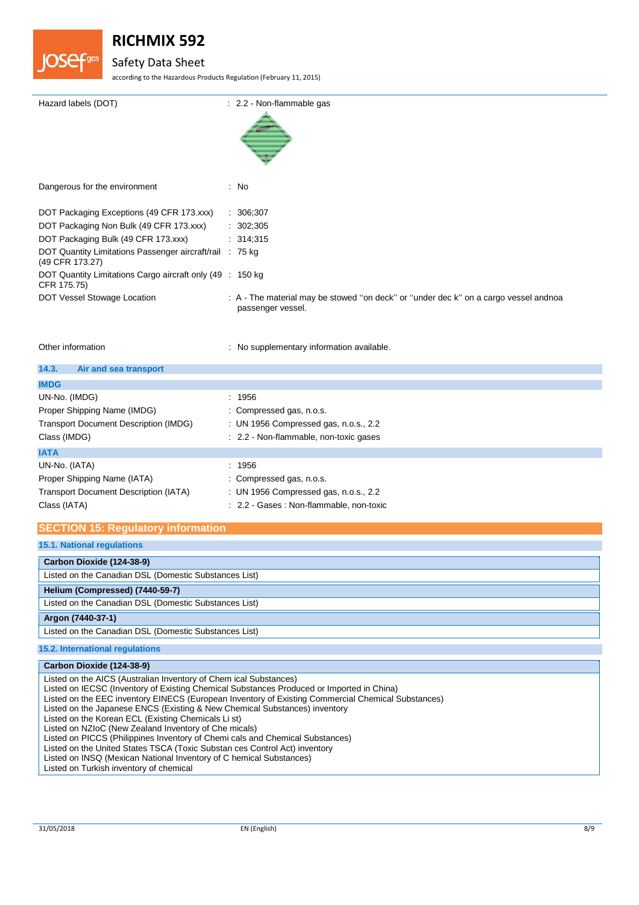

## Safety Data Sheet

according to the Hazardous Products Regulation (February 11, 2015)

| Hazard labels (DOT)                                                         | : 2.2 - Non-flammable gas                                                                                 |
|-----------------------------------------------------------------------------|-----------------------------------------------------------------------------------------------------------|
| Dangerous for the environment                                               | : No                                                                                                      |
| DOT Packaging Exceptions (49 CFR 173.xxx)                                   | : 306,307                                                                                                 |
| DOT Packaging Non Bulk (49 CFR 173.xxx)                                     | : 302;305                                                                                                 |
| DOT Packaging Bulk (49 CFR 173.xxx)                                         | : 314,315                                                                                                 |
| DOT Quantity Limitations Passenger aircraft/rail : 75 kg<br>(49 CFR 173.27) |                                                                                                           |
| DOT Quantity Limitations Cargo aircraft only (49 : 150 kg)<br>CFR 175.75)   |                                                                                                           |
| DOT Vessel Stowage Location                                                 | : A - The material may be stowed "on deck" or "under dec k" on a cargo vessel andnoa<br>passenger vessel. |

Other information **contracts** : No supplementary information available.

| 14.3.<br>Air and sea transport               |                                          |
|----------------------------------------------|------------------------------------------|
| <b>IMDG</b>                                  |                                          |
| UN-No. (IMDG)                                | : 1956                                   |
| Proper Shipping Name (IMDG)                  | : Compressed gas, n.o.s.                 |
| <b>Transport Document Description (IMDG)</b> | : UN 1956 Compressed gas, n.o.s., 2.2    |
| Class (IMDG)                                 | : 2.2 - Non-flammable, non-toxic gases   |
| <b>IATA</b>                                  |                                          |
| UN-No. (IATA)                                | : 1956                                   |
| Proper Shipping Name (IATA)                  | : Compressed gas, n.o.s.                 |
| <b>Transport Document Description (IATA)</b> | : UN 1956 Compressed gas, n.o.s., 2.2    |
| Class (IATA)                                 | : 2.2 - Gases : Non-flammable, non-toxic |

### **SECTION 15: Regulatory information**

### **15.2. International regulations**

| Carbon Dioxide (124-38-9)                                                                          |
|----------------------------------------------------------------------------------------------------|
| Listed on the AICS (Australian Inventory of Chem ical Substances)                                  |
|                                                                                                    |
| Listed on IECSC (Inventory of Existing Chemical Substances Produced or Imported in China)          |
| Listed on the EEC inventory EINECS (European Inventory of Existing Commercial Chemical Substances) |
| Listed on the Japanese ENCS (Existing & New Chemical Substances) inventory                         |
| Listed on the Korean ECL (Existing Chemicals Li st)                                                |
| Listed on NZIoC (New Zealand Inventory of Che micals)                                              |
| Listed on PICCS (Philippines Inventory of Chemi cals and Chemical Substances)                      |
| Listed on the United States TSCA (Toxic Substan ces Control Act) inventory                         |
| Listed on INSQ (Mexican National Inventory of C hemical Substances)                                |
| Listed on Turkish inventory of chemical                                                            |
|                                                                                                    |